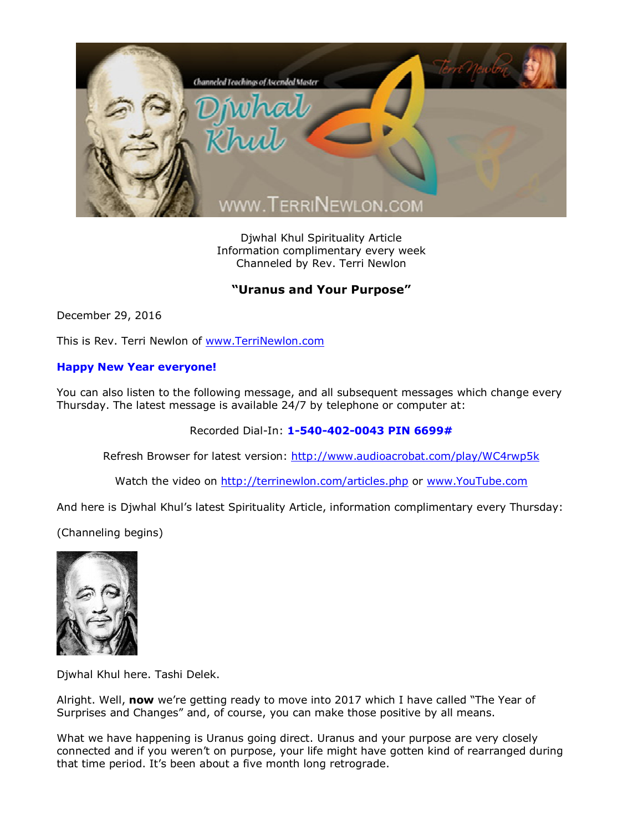

Djwhal Khul Spirituality Article Information complimentary every week Channeled by Rev. Terri Newlon

## **"Uranus and Your Purpose"**

December 29, 2016

This is Rev. Terri Newlon of [www.TerriNewlon.com](http://www.terrinewlon.com/)

## **Happy New Year everyone!**

You can also listen to the following message, and all subsequent messages which change every Thursday. The latest message is available 24/7 by telephone or computer at:

Recorded Dial-In: **1-540-402-0043 PIN 6699#**

Refresh Browser for latest version: <http://www.audioacrobat.com/play/WC4rwp5k>

Watch the video on <http://terrinewlon.com/articles.php> or [www.YouTube.com](http://www.youtube.com/)

And here is Djwhal Khul's latest Spirituality Article, information complimentary every Thursday:

(Channeling begins)



Djwhal Khul here. Tashi Delek.

Alright. Well, **now** we're getting ready to move into 2017 which I have called "The Year of Surprises and Changes" and, of course, you can make those positive by all means.

What we have happening is Uranus going direct. Uranus and your purpose are very closely connected and if you weren't on purpose, your life might have gotten kind of rearranged during that time period. It's been about a five month long retrograde.